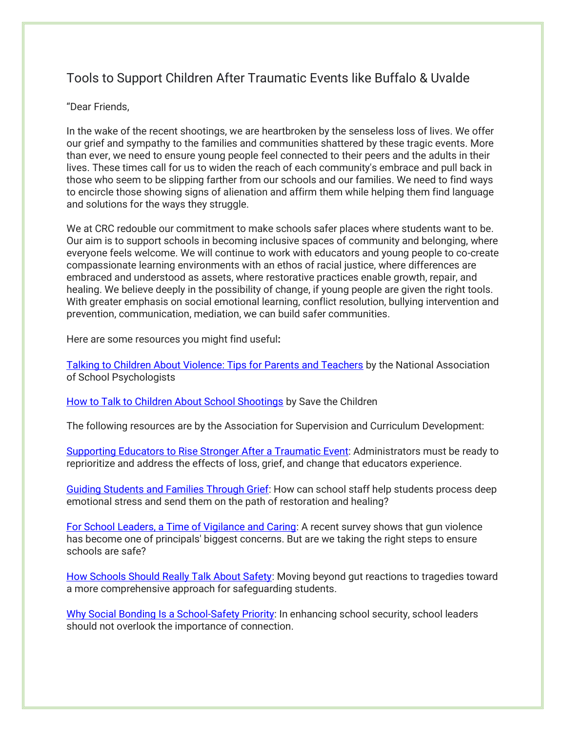## Tools to Support Children After Traumatic Events like Buffalo & Uvalde

## "Dear Friends,

In the wake of the recent shootings, we are heartbroken by the senseless loss of lives. We offer our grief and sympathy to the families and communities shattered by these tragic events. More than ever, we need to ensure young people feel connected to their peers and the adults in their lives. These times call for us to widen the reach of each community's embrace and pull back in those who seem to be slipping farther from our schools and our families. We need to find ways to encircle those showing signs of alienation and affirm them while helping them find language and solutions for the ways they struggle.

We at CRC redouble our commitment to make schools safer places where students want to be. Our aim is to support schools in becoming inclusive spaces of community and belonging, where everyone feels welcome. We will continue to work with educators and young people to co-create compassionate learning environments with an ethos of racial justice, where differences are embraced and understood as assets, where restorative practices enable growth, repair, and healing. We believe deeply in the possibility of change, if young people are given the right tools. With greater emphasis on social emotional learning, conflict resolution, bullying intervention and prevention, communication, mediation, we can build safer communities.

Here are some resources you might find useful**:**

[Talking to Children About Violence: Tips for Parents and Teachers](https://www.nasponline.org/resources-and-publications/resources-and-podcasts/school-safety-and-crisis/school-violence-resources/talking-to-children-about-violence-tips-for-parents-and-teachers) by the National Association of School Psychologists

[How to Talk to Children About School Shootings](https://www.savethechildren.org/us/charity-stories/how-to-talk-to-children-about-school-shootings?smtrctid=AAtsVV&cid=Email::May_Engagement:AAI_New_Leads:052622) by Save the Children

The following resources are by the Association for Supervision and Curriculum Development:

[Supporting Educators to Rise Stronger After a Traumatic Event:](https://www.ascd.org/el/articles/supporting-educators-to-rise-stronger-after-a-traumatic-event) Administrators must be ready to reprioritize and address the effects of loss, grief, and change that educators experience.

[Guiding Students and Families Through Grief:](https://www.ascd.org/blogs/guiding-students-and-families-through-grief) How can school staff help students process deep emotional stress and send them on the path of restoration and healing?

[For School Leaders, a Time of Vigilance and Caring:](https://www.ascd.org/el/articles/for-school-leaders-a-time-of-vigilance-and-caring) A recent survey shows that gun violence has become one of principals' biggest concerns. But are we taking the right steps to ensure schools are safe?

[How Schools Should Really Talk About Safety:](https://www.ascd.org/el/articles/how-schools-should-really-talk-about-safety) Moving beyond gut reactions to tragedies toward a more comprehensive approach for safeguarding students.

[Why Social Bonding Is a School-Safety Priority:](https://www.ascd.org/el/articles/why-social-bonding-is-a-school-safety-priority) In enhancing school security, school leaders should not overlook the importance of connection.